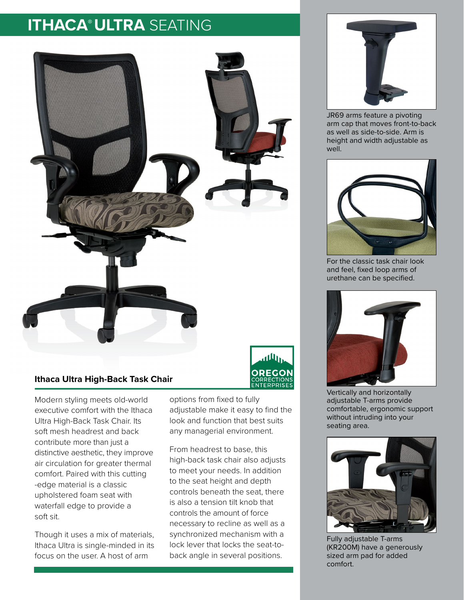## **ITHACA®ULTRA** SEATING



## **Ithaca Ultra High-Back Task Chair**

Modern styling meets old-world executive comfort with the Ithaca Ultra High-Back Task Chair. Its soft mesh headrest and back contribute more than just a distinctive aesthetic, they improve air circulation for greater thermal comfort. Paired with this cutting -edge material is a classic upholstered foam seat with waterfall edge to provide a soft sit.

Though it uses a mix of materials, Ithaca Ultra is single-minded in its focus on the user. A host of arm



From headrest to base, this high-back task chair also adjusts to meet your needs. In addition to the seat height and depth controls beneath the seat, there is also a tension tilt knob that controls the amount of force necessary to recline as well as a synchronized mechanism with a lock lever that locks the seat-toback angle in several positions.



JR69 arms feature a pivoting arm cap that moves front-to-back as well as side-to-side. Arm is height and width adjustable as well.



For the classic task chair look and feel, fixed loop arms of urethane can be specified.



Vertically and horizontally adjustable T-arms provide comfortable, ergonomic support without intruding into your seating area.



Fully adjustable T-arms (KR200M) have a generously sized arm pad for added comfort.